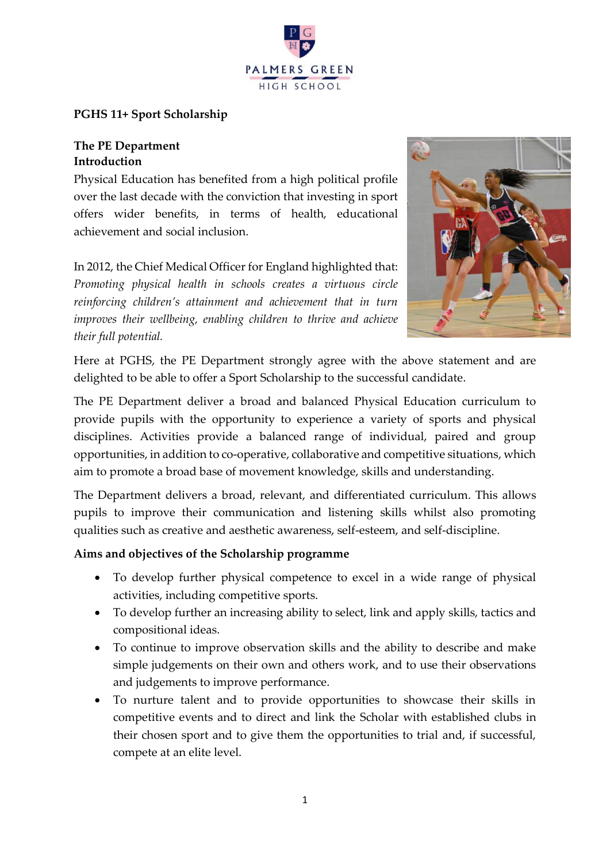

# **PGHS 11+ Sport Scholarship**

## **The PE Department Introduction**

Physical Education has benefited from a high political profile over the last decade with the conviction that investing in sport offers wider benefits, in terms of health, educational achievement and social inclusion.

In 2012, the Chief Medical Officer for England highlighted that: *Promoting physical health in schools creates a virtuous circle reinforcing children's attainment and achievement that in turn improves their wellbeing, enabling children to thrive and achieve their full potential.*



Here at PGHS, the PE Department strongly agree with the above statement and are delighted to be able to offer a Sport Scholarship to the successful candidate.

The PE Department deliver a broad and balanced Physical Education curriculum to provide pupils with the opportunity to experience a variety of sports and physical disciplines. Activities provide a balanced range of individual, paired and group opportunities, in addition to co-operative, collaborative and competitive situations, which aim to promote a broad base of movement knowledge, skills and understanding.

The Department delivers a broad, relevant, and differentiated curriculum. This allows pupils to improve their communication and listening skills whilst also promoting qualities such as creative and aesthetic awareness, self-esteem, and self-discipline.

## **Aims and objectives of the Scholarship programme**

- To develop further physical competence to excel in a wide range of physical activities, including competitive sports.
- To develop further an increasing ability to select, link and apply skills, tactics and compositional ideas.
- To continue to improve observation skills and the ability to describe and make simple judgements on their own and others work, and to use their observations and judgements to improve performance.
- To nurture talent and to provide opportunities to showcase their skills in competitive events and to direct and link the Scholar with established clubs in their chosen sport and to give them the opportunities to trial and, if successful, compete at an elite level.